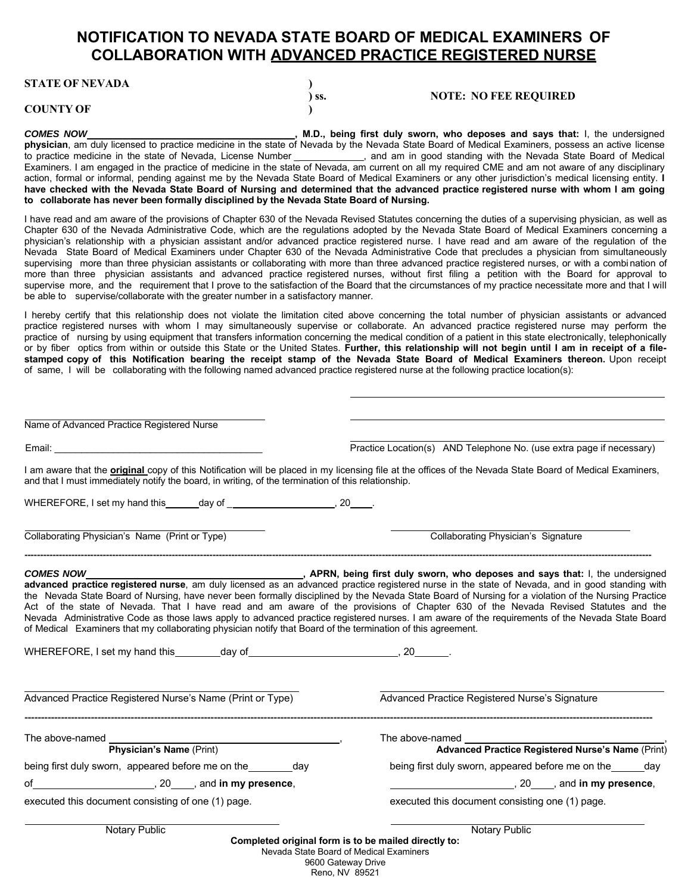## **NOTIFICATION TO NEVADA STATE BOARD OF MEDICAL EXAMINERS OF COLLABORATION WITH ADVANCED PRACTICE REGISTERED NURSE**

**STATE OF NEVADA )**

## **COUNTY OF )**

**) ss. NOTE: NO FEE REQUIRED**

**COMES NOW COMES NOW** *COMES NOW* **, M.D., being first duly sworn, who deposes and says that: I, the undersigned physician**, am duly licensed to practice medicine in the state of Nevada by the Nevada State Board of Medical Examiners, possess an active license to practice medicine in the state of Nevada, License Number \_\_\_\_\_\_\_\_\_\_\_, and am in good standing with the Nevada State Board of Medical Examiners. I am engaged in the practice of medicine in the state of Nevada, am current on all my required CME and am not aware of any disciplinary action, formal or informal, pending against me by the Nevada State Board of Medical Examiners or any other jurisdiction's medical licensing entity. **I have checked with the Nevada State Board of Nursing and determined that the advanced practice registered nurse with whom I am going to collaborate has never been formally disciplined by the Nevada State Board of Nursing.**

I have read and am aware of the provisions of Chapter 630 of the Nevada Revised Statutes concerning the duties of a supervising physician, as well as Chapter 630 of the Nevada Administrative Code, which are the regulations adopted by the Nevada State Board of Medical Examiners concerning a physician's relationship with a physician assistant and/or advanced practice registered nurse. I have read and am aware of the regulation of the Nevada State Board of Medical Examiners under Chapter 630 of the Nevada Administrative Code that precludes a physician from simultaneously supervising more than three physician assistants or collaborating with more than three advanced practice registered nurses, or with a combi nation of more than three physician assistants and advanced practice registered nurses, without first filing a petition with the Board for approval to supervise more, and the requirement that I prove to the satisfaction of the Board that the circumstances of my practice necessitate more and that I will be able to supervise/collaborate with the greater number in a satisfactory manner.

I hereby certify that this relationship does not violate the limitation cited above concerning the total number of physician assistants or advanced practice registered nurses with whom I may simultaneously supervise or collaborate. An advanced practice registered nurse may perform the practice of nursing by using equipment that transfers information concerning the medical condition of a patient in this state electronically, telephonically or by fiber optics from within or outside this State or the United States. **Further, this relationship will not begin until I am in receipt of a file**stamped copy of this Notification bearing the receipt stamp of the Nevada State Board of Medical Examiners thereon. Upon receipt of same, I will be collaborating with the following named advanced practice registered nurse at the following practice location(s):

| Name of Advanced Practice Registered Nurse                                                                                                                                                                                     |                                                                                                                                                                                                                                                                                                                                                                                                                                              |
|--------------------------------------------------------------------------------------------------------------------------------------------------------------------------------------------------------------------------------|----------------------------------------------------------------------------------------------------------------------------------------------------------------------------------------------------------------------------------------------------------------------------------------------------------------------------------------------------------------------------------------------------------------------------------------------|
| Email: No. 2014 - Contractor Contractor Contractor Contractor Contractor Contractor Contractor Contractor Contractor Contractor Contractor Contractor Contractor Contractor Contractor Contractor Contractor Contractor Contra | Practice Location(s) AND Telephone No. (use extra page if necessary)                                                                                                                                                                                                                                                                                                                                                                         |
| and that I must immediately notify the board, in writing, of the termination of this relationship.                                                                                                                             | I am aware that the <b>original</b> copy of this Notification will be placed in my licensing file at the offices of the Nevada State Board of Medical Examiners,                                                                                                                                                                                                                                                                             |
| WHEREFORE, I set my hand this ______ day of _________________________, 20_____.                                                                                                                                                |                                                                                                                                                                                                                                                                                                                                                                                                                                              |
| Collaborating Physician's Name (Print or Type)                                                                                                                                                                                 | <b>Collaborating Physician's Signature</b>                                                                                                                                                                                                                                                                                                                                                                                                   |
| of Medical Examiners that my collaborating physician notify that Board of the termination of this agreement.                                                                                                                   | the Nevada State Board of Nursing, have never been formally disciplined by the Nevada State Board of Nursing for a violation of the Nursing Practice<br>Act of the state of Nevada. That I have read and am aware of the provisions of Chapter 630 of the Nevada Revised Statutes and the<br>Nevada Administrative Code as those laws apply to advanced practice registered nurses. I am aware of the requirements of the Nevada State Board |
| WHEREFORE, I set my hand this ________day of __________________________________, 20________.                                                                                                                                   |                                                                                                                                                                                                                                                                                                                                                                                                                                              |
| Advanced Practice Registered Nurse's Name (Print or Type)                                                                                                                                                                      | Advanced Practice Registered Nurse's Signature                                                                                                                                                                                                                                                                                                                                                                                               |
|                                                                                                                                                                                                                                | The above-named<br><b>Advanced Practice Registered Nurse's Name</b> (Print)                                                                                                                                                                                                                                                                                                                                                                  |
| being first duly sworn, appeared before me on the _________ day                                                                                                                                                                | being first duly sworn, appeared before me on the _______ day                                                                                                                                                                                                                                                                                                                                                                                |
|                                                                                                                                                                                                                                |                                                                                                                                                                                                                                                                                                                                                                                                                                              |
| executed this document consisting of one (1) page.                                                                                                                                                                             | executed this document consisting one (1) page.                                                                                                                                                                                                                                                                                                                                                                                              |
| <b>Notary Public</b>                                                                                                                                                                                                           | <b>Notary Public</b>                                                                                                                                                                                                                                                                                                                                                                                                                         |

**Completed original form is to be mailed directly to:**

Nevada State Board of Medical Examiners

9600 Gateway Drive Reno, NV 89521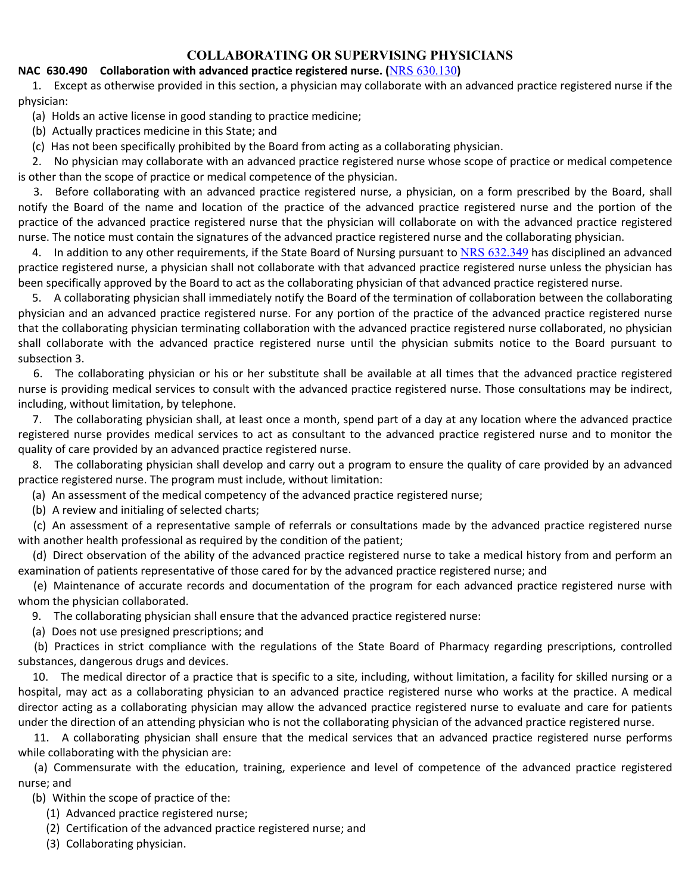## **COLLABORATING OR SUPERVISING PHYSICIANS**

## **NAC 630.490 Collaboration with advanced practice registered nurse. (**NRS 630.130**)**

 1. Except as otherwise provided in this section, a physician may collaborate with an advanced practice registered nurse if the physician:

(a) Holds an active license in good standing to practice medicine;

(b) Actually practices medicine in this State; and

(c) Has not been specifically prohibited by the Board from acting as a collaborating physician.

 2. No physician may collaborate with an advanced practice registered nurse whose scope of practice or medical competence is other than the scope of practice or medical competence of the physician.

 3. Before collaborating with an advanced practice registered nurse, a physician, on a form prescribed by the Board, shall notify the Board of the name and location of the practice of the advanced practice registered nurse and the portion of the practice of the advanced practice registered nurse that the physician will collaborate on with the advanced practice registered nurse. The notice must contain the signatures of the advanced practice registered nurse and the collaborating physician.

4. In addition to any other requirements, if the State Board of Nursing pursuant to NRS 632.349 has disciplined an advanced practice registered nurse, a physician shall not collaborate with that advanced practice registered nurse unless the physician has been specifically approved by the Board to act as the collaborating physician of that advanced practice registered nurse.

 5. A collaborating physician shall immediately notify the Board of the termination of collaboration between the collaborating physician and an advanced practice registered nurse. For any portion of the practice of the advanced practice registered nurse that the collaborating physician terminating collaboration with the advanced practice registered nurse collaborated, no physician shall collaborate with the advanced practice registered nurse until the physician submits notice to the Board pursuant to subsection 3.

 6. The collaborating physician or his or her substitute shall be available at all times that the advanced practice registered nurse is providing medical services to consult with the advanced practice registered nurse. Those consultations may be indirect, including, without limitation, by telephone.

 7. The collaborating physician shall, at least once a month, spend part of a day at any location where the advanced practice registered nurse provides medical services to act as consultant to the advanced practice registered nurse and to monitor the quality of care provided by an advanced practice registered nurse.

 8. The collaborating physician shall develop and carry out a program to ensure the quality of care provided by an advanced practice registered nurse. The program must include, without limitation:

(a) An assessment of the medical competency of the advanced practice registered nurse;

(b) A review and initialing of selected charts;

 (c) An assessment of a representative sample of referrals or consultations made by the advanced practice registered nurse with another health professional as required by the condition of the patient;

 (d) Direct observation of the ability of the advanced practice registered nurse to take a medical history from and perform an examination of patients representative of those cared for by the advanced practice registered nurse; and

 (e) Maintenance of accurate records and documentation of the program for each advanced practice registered nurse with whom the physician collaborated.

9. The collaborating physician shall ensure that the advanced practice registered nurse:

(a) Does not use presigned prescriptions; and

 (b) Practices in strict compliance with the regulations of the State Board of Pharmacy regarding prescriptions, controlled substances, dangerous drugs and devices.

 10. The medical director of a practice that is specific to a site, including, without limitation, a facility for skilled nursing or a hospital, may act as a collaborating physician to an advanced practice registered nurse who works at the practice. A medical director acting as a collaborating physician may allow the advanced practice registered nurse to evaluate and care for patients under the direction of an attending physician who is not the collaborating physician of the advanced practice registered nurse.

11. A collaborating physician shall ensure that the medical services that an advanced practice registered nurse performs while collaborating with the physician are:

 (a) Commensurate with the education, training, experience and level of competence of the advanced practice registered nurse; and

(b) Within the scope of practice of the:

- (1) Advanced practice registered nurse;
- (2) Certification of the advanced practice registered nurse; and
- (3) Collaborating physician.